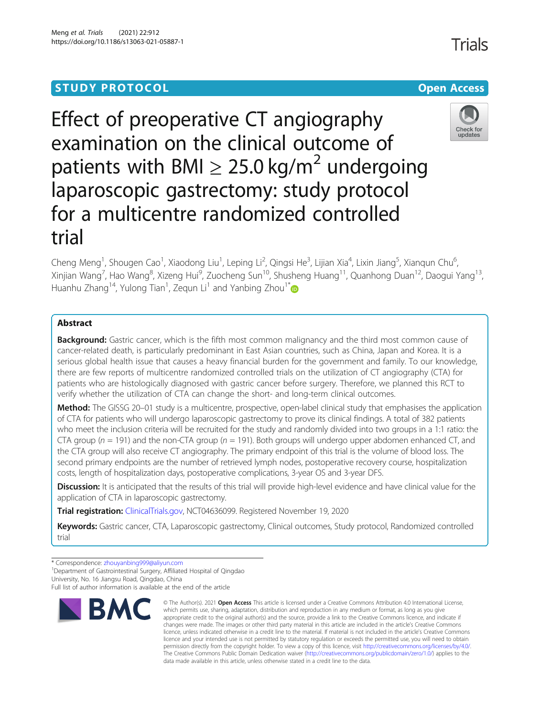Meng et al. Trials (2021) 22:912

# **STUDY PROTOCOL CONSUMING THE CONSUMING OPEN ACCESS**

# Effect of preoperative CT angiography examination on the clinical outcome of patients with BMI  $\geq 25.0$  kg/m<sup>2</sup> undergoing laparoscopic gastrectomy: study protocol for a multicentre randomized controlled trial

Cheng Meng<sup>1</sup>, Shougen Cao<sup>1</sup>, Xiaodong Liu<sup>1</sup>, Leping Li<sup>2</sup>, Qingsi He<sup>3</sup>, Lijian Xia<sup>4</sup>, Lixin Jiang<sup>5</sup>, Xianqun Chu<sup>6</sup> .<br>י Xinjian Wang<sup>7</sup>, Hao Wang<sup>8</sup>, Xizeng Hui<sup>9</sup>, Zuocheng Sun<sup>10</sup>, Shusheng Huang<sup>11</sup>, Quanhong Duan<sup>12</sup>, Daogui Yang<sup>13</sup>, Huanhu Zhang<sup>14</sup>, Yulong Tian<sup>1</sup>, Zequn Li<sup>1</sup> and Yanbing Zhou<sup>1\*</sup>

# Abstract

**Background:** Gastric cancer, which is the fifth most common malignancy and the third most common cause of cancer-related death, is particularly predominant in East Asian countries, such as China, Japan and Korea. It is a serious global health issue that causes a heavy financial burden for the government and family. To our knowledge, there are few reports of multicentre randomized controlled trials on the utilization of CT angiography (CTA) for patients who are histologically diagnosed with gastric cancer before surgery. Therefore, we planned this RCT to verify whether the utilization of CTA can change the short- and long-term clinical outcomes.

Method: The GISSG 20-01 study is a multicentre, prospective, open-label clinical study that emphasises the application of CTA for patients who will undergo laparoscopic gastrectomy to prove its clinical findings. A total of 382 patients who meet the inclusion criteria will be recruited for the study and randomly divided into two groups in a 1:1 ratio: the CTA group ( $n = 191$ ) and the non-CTA group ( $n = 191$ ). Both groups will undergo upper abdomen enhanced CT, and the CTA group will also receive CT angiography. The primary endpoint of this trial is the volume of blood loss. The second primary endpoints are the number of retrieved lymph nodes, postoperative recovery course, hospitalization costs, length of hospitalization days, postoperative complications, 3-year OS and 3-year DFS.

Discussion: It is anticipated that the results of this trial will provide high-level evidence and have clinical value for the application of CTA in laparoscopic gastrectomy.

Trial registration: [ClinicalTrials.gov,](http://clinicaltrials.gov) NCT04636099. Registered November 19, 2020

Keywords: Gastric cancer, CTA, Laparoscopic gastrectomy, Clinical outcomes, Study protocol, Randomized controlled trial

data made available in this article, unless otherwise stated in a credit line to the data.

licence and your intended use is not permitted by statutory regulation or exceeds the permitted use, you will need to obtain permission directly from the copyright holder. To view a copy of this licence, visit [http://creativecommons.org/licenses/by/4.0/.](http://creativecommons.org/licenses/by/4.0/) The Creative Commons Public Domain Dedication waiver [\(http://creativecommons.org/publicdomain/zero/1.0/](http://creativecommons.org/publicdomain/zero/1.0/)) applies to the

<sup>1</sup> Department of Gastrointestinal Surgery, Affiliated Hospital of Qingdao University, No. 16 Jiangsu Road, Qingdao, China

Full list of author information is available at the end of the article



Check for updates





<sup>\*</sup> Correspondence: [zhouyanbing999@aliyun.com](mailto:zhouyanbing999@aliyun.com) <sup>1</sup>

Trials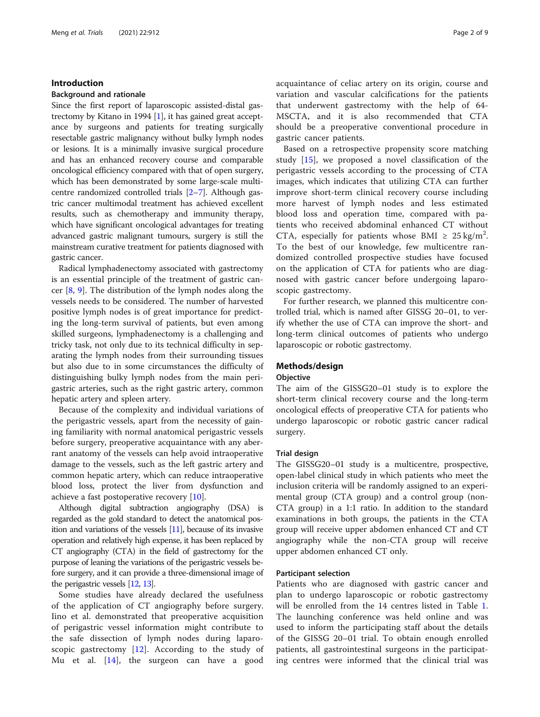# Introduction

# Background and rationale

Since the first report of laparoscopic assisted-distal gastrectomy by Kitano in 1994 [[1\]](#page-8-0), it has gained great acceptance by surgeons and patients for treating surgically resectable gastric malignancy without bulky lymph nodes or lesions. It is a minimally invasive surgical procedure and has an enhanced recovery course and comparable oncological efficiency compared with that of open surgery, which has been demonstrated by some large-scale multicentre randomized controlled trials [\[2](#page-8-0)–[7\]](#page-8-0). Although gastric cancer multimodal treatment has achieved excellent results, such as chemotherapy and immunity therapy, which have significant oncological advantages for treating advanced gastric malignant tumours, surgery is still the mainstream curative treatment for patients diagnosed with gastric cancer.

Radical lymphadenectomy associated with gastrectomy is an essential principle of the treatment of gastric cancer [\[8](#page-8-0), [9\]](#page-8-0). The distribution of the lymph nodes along the vessels needs to be considered. The number of harvested positive lymph nodes is of great importance for predicting the long-term survival of patients, but even among skilled surgeons, lymphadenectomy is a challenging and tricky task, not only due to its technical difficulty in separating the lymph nodes from their surrounding tissues but also due to in some circumstances the difficulty of distinguishing bulky lymph nodes from the main perigastric arteries, such as the right gastric artery, common hepatic artery and spleen artery.

Because of the complexity and individual variations of the perigastric vessels, apart from the necessity of gaining familiarity with normal anatomical perigastric vessels before surgery, preoperative acquaintance with any aberrant anatomy of the vessels can help avoid intraoperative damage to the vessels, such as the left gastric artery and common hepatic artery, which can reduce intraoperative blood loss, protect the liver from dysfunction and achieve a fast postoperative recovery [\[10](#page-8-0)].

Although digital subtraction angiography (DSA) is regarded as the gold standard to detect the anatomical position and variations of the vessels [\[11\]](#page-8-0), because of its invasive operation and relatively high expense, it has been replaced by CT angiography (CTA) in the field of gastrectomy for the purpose of leaning the variations of the perigastric vessels before surgery, and it can provide a three-dimensional image of the perigastric vessels [\[12](#page-8-0), [13\]](#page-8-0).

Some studies have already declared the usefulness of the application of CT angiography before surgery. Iino et al. demonstrated that preoperative acquisition of perigastric vessel information might contribute to the safe dissection of lymph nodes during laparoscopic gastrectomy  $[12]$  $[12]$ . According to the study of Mu et al. [[14\]](#page-8-0), the surgeon can have a good acquaintance of celiac artery on its origin, course and variation and vascular calcifications for the patients that underwent gastrectomy with the help of 64- MSCTA, and it is also recommended that CTA should be a preoperative conventional procedure in gastric cancer patients.

Based on a retrospective propensity score matching study [[15](#page-8-0)], we proposed a novel classification of the perigastric vessels according to the processing of CTA images, which indicates that utilizing CTA can further improve short-term clinical recovery course including more harvest of lymph nodes and less estimated blood loss and operation time, compared with patients who received abdominal enhanced CT without CTA, especially for patients whose BMI  $\geq 25 \text{ kg/m}^2$ . To the best of our knowledge, few multicentre randomized controlled prospective studies have focused on the application of CTA for patients who are diagnosed with gastric cancer before undergoing laparoscopic gastrectomy.

For further research, we planned this multicentre controlled trial, which is named after GISSG 20–01, to verify whether the use of CTA can improve the short- and long-term clinical outcomes of patients who undergo laparoscopic or robotic gastrectomy.

# Methods/design

# **Objective**

The aim of the GISSG20–01 study is to explore the short-term clinical recovery course and the long-term oncological effects of preoperative CTA for patients who undergo laparoscopic or robotic gastric cancer radical surgery.

# Trial design

The GISSG20–01 study is a multicentre, prospective, open-label clinical study in which patients who meet the inclusion criteria will be randomly assigned to an experimental group (CTA group) and a control group (non-CTA group) in a 1:1 ratio. In addition to the standard examinations in both groups, the patients in the CTA group will receive upper abdomen enhanced CT and CT angiography while the non-CTA group will receive upper abdomen enhanced CT only.

# Participant selection

Patients who are diagnosed with gastric cancer and plan to undergo laparoscopic or robotic gastrectomy will be enrolled from the 14 centres listed in Table [1](#page-2-0). The launching conference was held online and was used to inform the participating staff about the details of the GISSG 20–01 trial. To obtain enough enrolled patients, all gastrointestinal surgeons in the participating centres were informed that the clinical trial was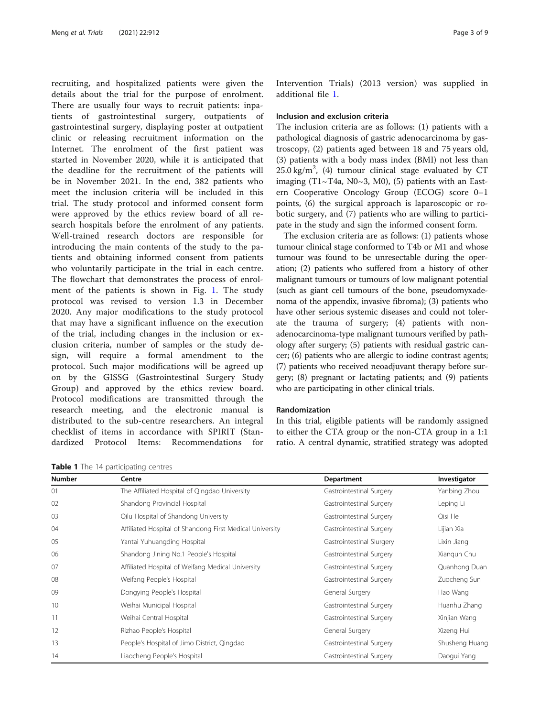<span id="page-2-0"></span>recruiting, and hospitalized patients were given the details about the trial for the purpose of enrolment. There are usually four ways to recruit patients: inpatients of gastrointestinal surgery, outpatients of gastrointestinal surgery, displaying poster at outpatient clinic or releasing recruitment information on the Internet. The enrolment of the first patient was started in November 2020, while it is anticipated that the deadline for the recruitment of the patients will be in November 2021. In the end, 382 patients who meet the inclusion criteria will be included in this trial. The study protocol and informed consent form were approved by the ethics review board of all research hospitals before the enrolment of any patients. Well-trained research doctors are responsible for introducing the main contents of the study to the patients and obtaining informed consent from patients who voluntarily participate in the trial in each centre. The flowchart that demonstrates the process of enrolment of the patients is shown in Fig. [1](#page-3-0). The study protocol was revised to version 1.3 in December 2020. Any major modifications to the study protocol that may have a significant influence on the execution of the trial, including changes in the inclusion or exclusion criteria, number of samples or the study design, will require a formal amendment to the protocol. Such major modifications will be agreed up on by the GISSG (Gastrointestinal Surgery Study Group) and approved by the ethics review board. Protocol modifications are transmitted through the research meeting, and the electronic manual is distributed to the sub-centre researchers. An integral checklist of items in accordance with SPIRIT (Standardized Protocol Items: Recommendations for

Table 1 The 14 participating centres

Intervention Trials) (2013 version) was supplied in additional file [1.](#page-7-0)

#### Inclusion and exclusion criteria

The inclusion criteria are as follows: (1) patients with a pathological diagnosis of gastric adenocarcinoma by gastroscopy, (2) patients aged between 18 and 75 years old, (3) patients with a body mass index (BMI) not less than  $25.0 \text{ kg/m}^2$ , (4) tumour clinical stage evaluated by CT imaging (T1~T4a, N0~3, M0), (5) patients with an Eastern Cooperative Oncology Group (ECOG) score 0–1 points, (6) the surgical approach is laparoscopic or robotic surgery, and (7) patients who are willing to participate in the study and sign the informed consent form.

The exclusion criteria are as follows: (1) patients whose tumour clinical stage conformed to T4b or M1 and whose tumour was found to be unresectable during the operation; (2) patients who suffered from a history of other malignant tumours or tumours of low malignant potential (such as giant cell tumours of the bone, pseudomyxadenoma of the appendix, invasive fibroma); (3) patients who have other serious systemic diseases and could not tolerate the trauma of surgery; (4) patients with nonadenocarcinoma-type malignant tumours verified by pathology after surgery; (5) patients with residual gastric cancer; (6) patients who are allergic to iodine contrast agents; (7) patients who received neoadjuvant therapy before surgery; (8) pregnant or lactating patients; and (9) patients who are participating in other clinical trials.

# Randomization

In this trial, eligible patients will be randomly assigned to either the CTA group or the non-CTA group in a 1:1 ratio. A central dynamic, stratified strategy was adopted

| <b>Number</b> | Centre                                                   | Department                | Investigator   |  |  |
|---------------|----------------------------------------------------------|---------------------------|----------------|--|--|
| 01            | The Affiliated Hospital of Qingdao University            | Gastrointestinal Surgery  | Yanbing Zhou   |  |  |
| 02            | Shandong Provincial Hospital                             | Gastrointestinal Surgery  | Leping Li      |  |  |
| 03            | Qilu Hospital of Shandong University                     | Gastrointestinal Surgery  | Qisi He        |  |  |
| 04            | Affiliated Hospital of Shandong First Medical University | Gastrointestinal Surgery  | Lijian Xia     |  |  |
| 05            | Yantai Yuhuangding Hospital                              | Gastrointestinal Slurgery | Lixin Jiang    |  |  |
| 06            | Shandong Jining No.1 People's Hospital                   | Gastrointestinal Surgery  | Xiangun Chu    |  |  |
| 07            | Affiliated Hospital of Weifang Medical University        | Gastrointestinal Surgery  | Quanhong Duan  |  |  |
| 08            | Weifang People's Hospital                                | Gastrointestinal Surgery  | Zuocheng Sun   |  |  |
| 09            | Dongying People's Hospital                               | General Surgery           | Hao Wang       |  |  |
| 10            | Weihai Municipal Hospital                                | Gastrointestinal Surgery  | Huanhu Zhang   |  |  |
| 11            | Weihai Central Hospital                                  | Gastrointestinal Surgery  | Xinjian Wang   |  |  |
| 12            | Rizhao People's Hospital                                 | General Surgery           | Xizeng Hui     |  |  |
| 13            | People's Hospital of Jimo District, Qingdao              | Gastrointestinal Surgery  | Shusheng Huang |  |  |
| 14            | Liaocheng People's Hospital                              | Gastrointestinal Surgery  | Daogui Yang    |  |  |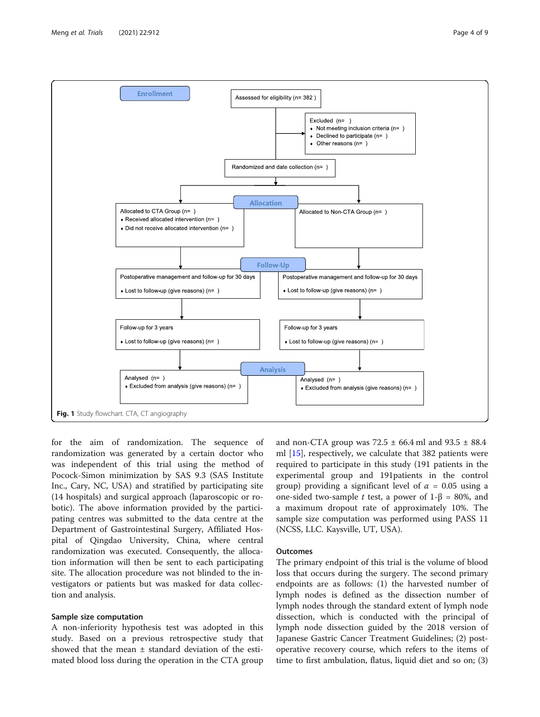<span id="page-3-0"></span>

for the aim of randomization. The sequence of randomization was generated by a certain doctor who was independent of this trial using the method of Pocock-Simon minimization by SAS 9.3 (SAS Institute Inc., Cary, NC, USA) and stratified by participating site (14 hospitals) and surgical approach (laparoscopic or robotic). The above information provided by the participating centres was submitted to the data centre at the Department of Gastrointestinal Surgery, Affiliated Hospital of Qingdao University, China, where central randomization was executed. Consequently, the allocation information will then be sent to each participating site. The allocation procedure was not blinded to the investigators or patients but was masked for data collection and analysis.

# Sample size computation

A non-inferiority hypothesis test was adopted in this study. Based on a previous retrospective study that showed that the mean  $\pm$  standard deviation of the estimated blood loss during the operation in the CTA group and non-CTA group was  $72.5 \pm 66.4$  ml and  $93.5 \pm 88.4$ ml [[15\]](#page-8-0), respectively, we calculate that 382 patients were required to participate in this study (191 patients in the experimental group and 191patients in the control group) providing a significant level of  $\alpha = 0.05$  using a one-sided two-sample t test, a power of  $1-\beta = 80\%$ , and a maximum dropout rate of approximately 10%. The sample size computation was performed using PASS 11 (NCSS, LLC. Kaysville, UT, USA).

#### **Outcomes**

The primary endpoint of this trial is the volume of blood loss that occurs during the surgery. The second primary endpoints are as follows: (1) the harvested number of lymph nodes is defined as the dissection number of lymph nodes through the standard extent of lymph node dissection, which is conducted with the principal of lymph node dissection guided by the 2018 version of Japanese Gastric Cancer Treatment Guidelines; (2) postoperative recovery course, which refers to the items of time to first ambulation, flatus, liquid diet and so on; (3)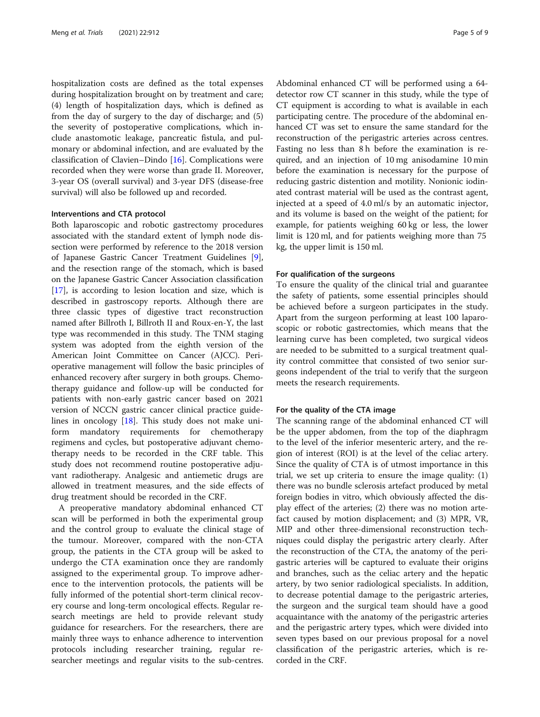hospitalization costs are defined as the total expenses during hospitalization brought on by treatment and care; (4) length of hospitalization days, which is defined as from the day of surgery to the day of discharge; and (5) the severity of postoperative complications, which include anastomotic leakage, pancreatic fistula, and pulmonary or abdominal infection, and are evaluated by the classification of Clavien–Dindo [[16\]](#page-8-0). Complications were recorded when they were worse than grade II. Moreover, 3-year OS (overall survival) and 3-year DFS (disease-free survival) will also be followed up and recorded.

#### Interventions and CTA protocol

Both laparoscopic and robotic gastrectomy procedures associated with the standard extent of lymph node dissection were performed by reference to the 2018 version of Japanese Gastric Cancer Treatment Guidelines [\[9](#page-8-0)], and the resection range of the stomach, which is based on the Japanese Gastric Cancer Association classification [[17\]](#page-8-0), is according to lesion location and size, which is described in gastroscopy reports. Although there are three classic types of digestive tract reconstruction named after Billroth I, Billroth II and Roux-en-Y, the last type was recommended in this study. The TNM staging system was adopted from the eighth version of the American Joint Committee on Cancer (AJCC). Perioperative management will follow the basic principles of enhanced recovery after surgery in both groups. Chemotherapy guidance and follow-up will be conducted for patients with non-early gastric cancer based on 2021 version of NCCN gastric cancer clinical practice guidelines in oncology [\[18\]](#page-8-0). This study does not make uniform mandatory requirements for chemotherapy regimens and cycles, but postoperative adjuvant chemotherapy needs to be recorded in the CRF table. This study does not recommend routine postoperative adjuvant radiotherapy. Analgesic and antiemetic drugs are allowed in treatment measures, and the side effects of drug treatment should be recorded in the CRF.

A preoperative mandatory abdominal enhanced CT scan will be performed in both the experimental group and the control group to evaluate the clinical stage of the tumour. Moreover, compared with the non-CTA group, the patients in the CTA group will be asked to undergo the CTA examination once they are randomly assigned to the experimental group. To improve adherence to the intervention protocols, the patients will be fully informed of the potential short-term clinical recovery course and long-term oncological effects. Regular research meetings are held to provide relevant study guidance for researchers. For the researchers, there are mainly three ways to enhance adherence to intervention protocols including researcher training, regular researcher meetings and regular visits to the sub-centres.

Abdominal enhanced CT will be performed using a 64 detector row CT scanner in this study, while the type of CT equipment is according to what is available in each participating centre. The procedure of the abdominal enhanced CT was set to ensure the same standard for the reconstruction of the perigastric arteries across centres. Fasting no less than 8 h before the examination is required, and an injection of 10 mg anisodamine 10 min before the examination is necessary for the purpose of reducing gastric distention and motility. Nonionic iodinated contrast material will be used as the contrast agent, injected at a speed of 4.0 ml/s by an automatic injector, and its volume is based on the weight of the patient; for example, for patients weighing 60 kg or less, the lower limit is 120 ml, and for patients weighing more than 75 kg, the upper limit is 150 ml.

#### For qualification of the surgeons

To ensure the quality of the clinical trial and guarantee the safety of patients, some essential principles should be achieved before a surgeon participates in the study. Apart from the surgeon performing at least 100 laparoscopic or robotic gastrectomies, which means that the learning curve has been completed, two surgical videos are needed to be submitted to a surgical treatment quality control committee that consisted of two senior surgeons independent of the trial to verify that the surgeon meets the research requirements.

## For the quality of the CTA image

The scanning range of the abdominal enhanced CT will be the upper abdomen, from the top of the diaphragm to the level of the inferior mesenteric artery, and the region of interest (ROI) is at the level of the celiac artery. Since the quality of CTA is of utmost importance in this trial, we set up criteria to ensure the image quality: (1) there was no bundle sclerosis artefact produced by metal foreign bodies in vitro, which obviously affected the display effect of the arteries; (2) there was no motion artefact caused by motion displacement; and (3) MPR, VR, MIP and other three-dimensional reconstruction techniques could display the perigastric artery clearly. After the reconstruction of the CTA, the anatomy of the perigastric arteries will be captured to evaluate their origins and branches, such as the celiac artery and the hepatic artery, by two senior radiological specialists. In addition, to decrease potential damage to the perigastric arteries, the surgeon and the surgical team should have a good acquaintance with the anatomy of the perigastric arteries and the perigastric artery types, which were divided into seven types based on our previous proposal for a novel classification of the perigastric arteries, which is recorded in the CRF.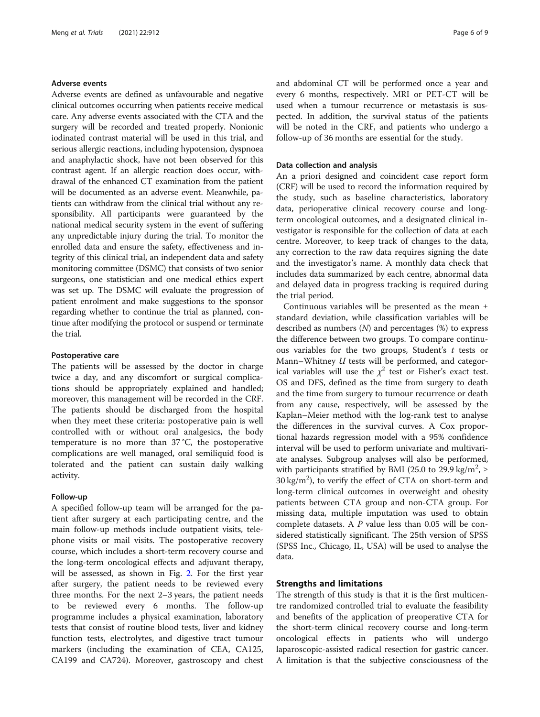# Adverse events

Adverse events are defined as unfavourable and negative clinical outcomes occurring when patients receive medical care. Any adverse events associated with the CTA and the surgery will be recorded and treated properly. Nonionic iodinated contrast material will be used in this trial, and serious allergic reactions, including hypotension, dyspnoea and anaphylactic shock, have not been observed for this contrast agent. If an allergic reaction does occur, withdrawal of the enhanced CT examination from the patient will be documented as an adverse event. Meanwhile, patients can withdraw from the clinical trial without any responsibility. All participants were guaranteed by the national medical security system in the event of suffering any unpredictable injury during the trial. To monitor the enrolled data and ensure the safety, effectiveness and integrity of this clinical trial, an independent data and safety monitoring committee (DSMC) that consists of two senior surgeons, one statistician and one medical ethics expert was set up. The DSMC will evaluate the progression of patient enrolment and make suggestions to the sponsor regarding whether to continue the trial as planned, continue after modifying the protocol or suspend or terminate the trial.

# Postoperative care

The patients will be assessed by the doctor in charge twice a day, and any discomfort or surgical complications should be appropriately explained and handled; moreover, this management will be recorded in the CRF. The patients should be discharged from the hospital when they meet these criteria: postoperative pain is well controlled with or without oral analgesics, the body temperature is no more than 37 °C, the postoperative complications are well managed, oral semiliquid food is tolerated and the patient can sustain daily walking activity.

#### Follow-up

A specified follow-up team will be arranged for the patient after surgery at each participating centre, and the main follow-up methods include outpatient visits, telephone visits or mail visits. The postoperative recovery course, which includes a short-term recovery course and the long-term oncological effects and adjuvant therapy, will be assessed, as shown in Fig. [2](#page-6-0). For the first year after surgery, the patient needs to be reviewed every three months. For the next 2–3 years, the patient needs to be reviewed every 6 months. The follow-up programme includes a physical examination, laboratory tests that consist of routine blood tests, liver and kidney function tests, electrolytes, and digestive tract tumour markers (including the examination of CEA, CA125, CA199 and CA724). Moreover, gastroscopy and chest and abdominal CT will be performed once a year and every 6 months, respectively. MRI or PET-CT will be used when a tumour recurrence or metastasis is suspected. In addition, the survival status of the patients will be noted in the CRF, and patients who undergo a follow-up of 36 months are essential for the study.

# Data collection and analysis

An a priori designed and coincident case report form (CRF) will be used to record the information required by the study, such as baseline characteristics, laboratory data, perioperative clinical recovery course and longterm oncological outcomes, and a designated clinical investigator is responsible for the collection of data at each centre. Moreover, to keep track of changes to the data, any correction to the raw data requires signing the date and the investigator's name. A monthly data check that includes data summarized by each centre, abnormal data and delayed data in progress tracking is required during the trial period.

Continuous variables will be presented as the mean ± standard deviation, while classification variables will be described as numbers  $(N)$  and percentages  $(\%)$  to express the difference between two groups. To compare continuous variables for the two groups, Student's  $t$  tests or Mann–Whitney *U* tests will be performed, and categorical variables will use the  $\chi^2$  test or Fisher's exact test. OS and DFS, defined as the time from surgery to death and the time from surgery to tumour recurrence or death from any cause, respectively, will be assessed by the Kaplan–Meier method with the log-rank test to analyse the differences in the survival curves. A Cox proportional hazards regression model with a 95% confidence interval will be used to perform univariate and multivariate analyses. Subgroup analyses will also be performed, with participants stratified by BMI (25.0 to 29.9 kg/m<sup>2</sup>,  $\geq$  $30 \text{ kg/m}^2$ ), to verify the effect of CTA on short-term and long-term clinical outcomes in overweight and obesity patients between CTA group and non-CTA group. For missing data, multiple imputation was used to obtain complete datasets. A P value less than 0.05 will be considered statistically significant. The 25th version of SPSS (SPSS Inc., Chicago, IL, USA) will be used to analyse the data.

# Strengths and limitations

The strength of this study is that it is the first multicentre randomized controlled trial to evaluate the feasibility and benefits of the application of preoperative CTA for the short-term clinical recovery course and long-term oncological effects in patients who will undergo laparoscopic-assisted radical resection for gastric cancer. A limitation is that the subjective consciousness of the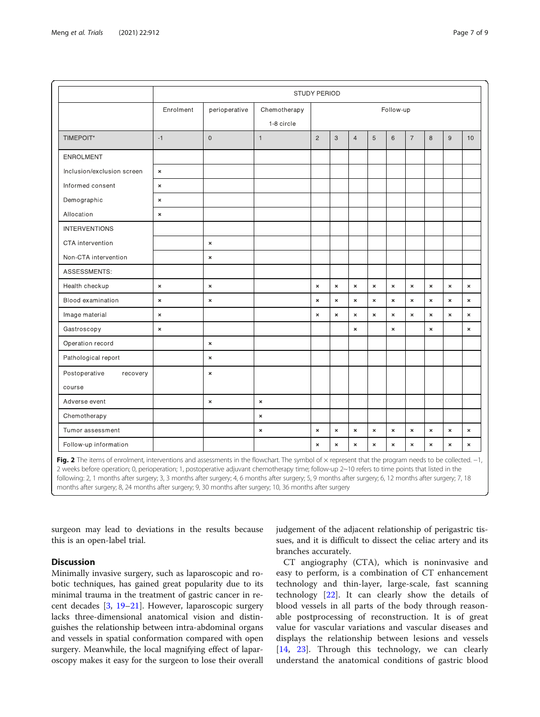<span id="page-6-0"></span>

|                            | STUDY PERIOD   |                |                            |                |                       |                    |                       |                    |                    |                    |                |                    |
|----------------------------|----------------|----------------|----------------------------|----------------|-----------------------|--------------------|-----------------------|--------------------|--------------------|--------------------|----------------|--------------------|
|                            | Enrolment      | perioperative  | Chemotherapy<br>1-8 circle | Follow-up      |                       |                    |                       |                    |                    |                    |                |                    |
| TIMEPOIT*                  | $-1$           | $\overline{0}$ | $\mathbf{1}$               | $\overline{2}$ | 3                     | $\overline{4}$     | 5                     | $6\phantom{1}6$    | $\overline{7}$     | 8                  | $\overline{9}$ | 10                 |
| <b>ENROLMENT</b>           |                |                |                            |                |                       |                    |                       |                    |                    |                    |                |                    |
| Inclusion/exclusion screen | $\pmb{\times}$ |                |                            |                |                       |                    |                       |                    |                    |                    |                |                    |
| Informed consent           | $\pmb{\times}$ |                |                            |                |                       |                    |                       |                    |                    |                    |                |                    |
| Demographic                | $\pmb{\times}$ |                |                            |                |                       |                    |                       |                    |                    |                    |                |                    |
| Allocation                 | $\pmb{\times}$ |                |                            |                |                       |                    |                       |                    |                    |                    |                |                    |
| <b>INTERVENTIONS</b>       |                |                |                            |                |                       |                    |                       |                    |                    |                    |                |                    |
| CTA intervention           |                | $\pmb{\times}$ |                            |                |                       |                    |                       |                    |                    |                    |                |                    |
| Non-CTA intervention       |                | $\pmb{\times}$ |                            |                |                       |                    |                       |                    |                    |                    |                |                    |
| ASSESSMENTS:               |                |                |                            |                |                       |                    |                       |                    |                    |                    |                |                    |
| Health checkup             | $\pmb{\times}$ | $\pmb{\times}$ |                            | $\pmb{\times}$ | $\boldsymbol{\times}$ | $\pmb{\times}$     | $\boldsymbol{\times}$ | $\pmb{\times}$     | $\mathbf{x}$       | $\bar{\mathbf{x}}$ | $\pmb{\times}$ | $\bar{\mathbf{x}}$ |
| Blood examination          | $\pmb{\times}$ | $\pmb{\times}$ |                            | $\pmb{\times}$ | $\pmb{\times}$        | $\pmb{\times}$     | $\pmb{\times}$        | $\pmb{\times}$     | $\mathbf{x}$       | $\pmb{\times}$     | $\pmb{\times}$ | $\pmb{\times}$     |
| Image material             | $\pmb{\times}$ |                |                            | $\pmb{\times}$ | $\pmb{\times}$        | $\pmb{\times}$     | $\pmb{\times}$        | $\pmb{\times}$     | $\pmb{\times}$     | ×                  | $\pmb{\times}$ | $\pmb{\times}$     |
| Gastroscopy                | $\pmb{\times}$ |                |                            |                |                       | $\pmb{\times}$     |                       | $\pmb{\times}$     |                    | $\pmb{\times}$     |                | $\pmb{\times}$     |
| Operation record           |                | $\pmb{\times}$ |                            |                |                       |                    |                       |                    |                    |                    |                |                    |
| Pathological report        |                | $\pmb{\times}$ |                            |                |                       |                    |                       |                    |                    |                    |                |                    |
| Postoperative<br>recovery  |                | $\pmb{\times}$ |                            |                |                       |                    |                       |                    |                    |                    |                |                    |
| course                     |                |                |                            |                |                       |                    |                       |                    |                    |                    |                |                    |
| Adverse event              |                | $\pmb{\times}$ | $\pmb{\times}$             |                |                       |                    |                       |                    |                    |                    |                |                    |
| Chemotherapy               |                |                | $\boldsymbol{\times}$      |                |                       |                    |                       |                    |                    |                    |                |                    |
| Tumor assessment           |                |                | $\pmb{\times}$             | $\pmb{\times}$ | $\bar{\mathbf{x}}$    | $\pmb{\times}$     | $\pmb{\times}$        | $\pmb{\times}$     | $\bar{\mathbf{x}}$ | $\pmb{\times}$     | $\pmb{\times}$ | $\bar{\mathbf{x}}$ |
| Follow-up information      |                |                |                            | $\pmb{\times}$ | $\bar{\mathbf{x}}$    | $\bar{\mathbf{x}}$ | $\pmb{\times}$        | $\bar{\mathbf{x}}$ | $\bar{\mathbf{x}}$ | $\pmb{\times}$     | $\pmb{\times}$ | $\pmb{\times}$     |

Fig. 2 The items of enrolment, interventions and assessments in the flowchart. The symbol of × represent that the program needs to b 2 weeks before operation; 0, perioperation; 1, postoperative adjuvant chemotherapy time; follow-up 2~10 refers to time points that listed in the following: 2, 1 months after surgery; 3, 3 months after surgery; 4, 6 months after surgery; 5, 9 months after surgery; 6, 12 months after surgery; 7, 18 months after surgery; 8, 24 months after surgery; 9, 30 months after surgery; 10, 36 months after surgery

surgeon may lead to deviations in the results because this is an open-label trial.

# **Discussion**

Minimally invasive surgery, such as laparoscopic and robotic techniques, has gained great popularity due to its minimal trauma in the treatment of gastric cancer in recent decades [\[3](#page-8-0), [19](#page-8-0)–[21\]](#page-8-0). However, laparoscopic surgery lacks three-dimensional anatomical vision and distinguishes the relationship between intra-abdominal organs and vessels in spatial conformation compared with open surgery. Meanwhile, the local magnifying effect of laparoscopy makes it easy for the surgeon to lose their overall judgement of the adjacent relationship of perigastric tissues, and it is difficult to dissect the celiac artery and its branches accurately.

CT angiography (CTA), which is noninvasive and easy to perform, is a combination of CT enhancement technology and thin-layer, large-scale, fast scanning technology [[22\]](#page-8-0). It can clearly show the details of blood vessels in all parts of the body through reasonable postprocessing of reconstruction. It is of great value for vascular variations and vascular diseases and displays the relationship between lesions and vessels [[14,](#page-8-0) [23](#page-8-0)]. Through this technology, we can clearly understand the anatomical conditions of gastric blood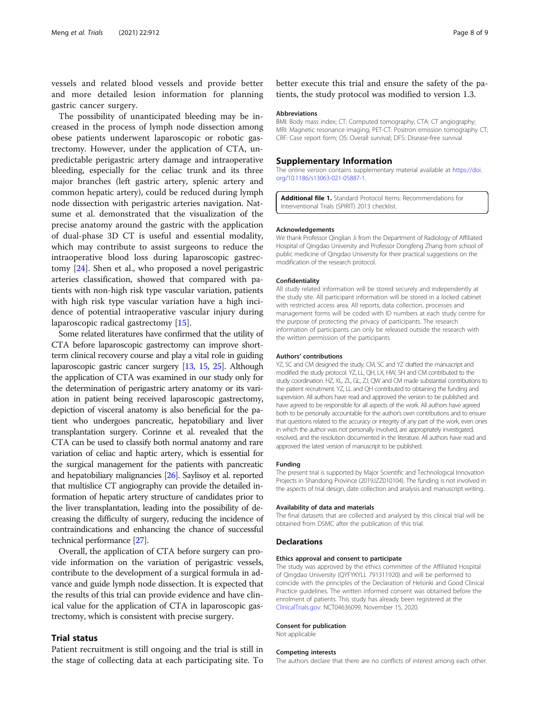<span id="page-7-0"></span>vessels and related blood vessels and provide better and more detailed lesion information for planning gastric cancer surgery.

The possibility of unanticipated bleeding may be increased in the process of lymph node dissection among obese patients underwent laparoscopic or robotic gastrectomy. However, under the application of CTA, unpredictable perigastric artery damage and intraoperative bleeding, especially for the celiac trunk and its three major branches (left gastric artery, splenic artery and common hepatic artery), could be reduced during lymph node dissection with perigastric arteries navigation. Natsume et al. demonstrated that the visualization of the precise anatomy around the gastric with the application of dual-phase 3D CT is useful and essential modality, which may contribute to assist surgeons to reduce the intraoperative blood loss during laparoscopic gastrectomy [\[24](#page-8-0)]. Shen et al., who proposed a novel perigastric arteries classification, showed that compared with patients with non-high risk type vascular variation, patients with high risk type vascular variation have a high incidence of potential intraoperative vascular injury during laparoscopic radical gastrectomy [\[15\]](#page-8-0).

Some related literatures have confirmed that the utility of CTA before laparoscopic gastrectomy can improve shortterm clinical recovery course and play a vital role in guiding laparoscopic gastric cancer surgery [\[13,](#page-8-0) [15,](#page-8-0) [25](#page-8-0)]. Although the application of CTA was examined in our study only for the determination of perigastric artery anatomy or its variation in patient being received laparoscopic gastrectomy, depiction of visceral anatomy is also beneficial for the patient who undergoes pancreatic, hepatobiliary and liver transplantation surgery. Corinne et al. revealed that the CTA can be used to classify both normal anatomy and rare variation of celiac and haptic artery, which is essential for the surgical management for the patients with pancreatic and hepatobiliary malignancies [\[26\]](#page-8-0). Saylisoy et al. reported that multislice CT angiography can provide the detailed information of hepatic artery structure of candidates prior to the liver transplantation, leading into the possibility of decreasing the difficulty of surgery, reducing the incidence of contraindications and enhancing the chance of successful technical performance [\[27\]](#page-8-0).

Overall, the application of CTA before surgery can provide information on the variation of perigastric vessels, contribute to the development of a surgical formula in advance and guide lymph node dissection. It is expected that the results of this trial can provide evidence and have clinical value for the application of CTA in laparoscopic gastrectomy, which is consistent with precise surgery.

# Trial status

Patient recruitment is still ongoing and the trial is still in the stage of collecting data at each participating site. To

better execute this trial and ensure the safety of the patients, the study protocol was modified to version 1.3.

#### Abbreviations

BMI: Body mass index; CT: Computed tomography; CTA: CT angiography; MRI: Magnetic resonance imaging; PET-CT: Positron emission tomography CT: CRF: Case report form; OS: Overall survival; DFS: Disease-free survival

#### Supplementary Information

The online version contains supplementary material available at [https://doi.](https://doi.org/10.1186/s13063-021-05887-1) [org/10.1186/s13063-021-05887-1.](https://doi.org/10.1186/s13063-021-05887-1)

Additional file 1. Standard Protocol Items: Recommendations for Interventional Trials (SPIRIT) 2013 checklist.

#### Acknowledgements

We thank Professor Qinglian Ji from the Department of Radiology of Affiliated Hospital of Qingdao University and Professor Dongfeng Zhang from school of public medicine of Qingdao University for their practical suggestions on the modification of the research protocol.

#### Confidentiality

All study related information will be stored securely and independently at the study site. All participant information will be stored in a locked cabinet with restricted access area. All reports, data collection, processes and management forms will be coded with ID numbers at each study centre for the purpose of protecting the privacy of participants. The research information of participants can only be released outside the research with the written permission of the participants

#### Authors' contributions

YZ, SC and CM designed the study. CM, SC and YZ drafted the manuscript and modified the study protocol. YZ, LL, QH, LX, HW, SH and CM contributed to the study coordination. HZ, XL, ZL, GL, ZJ, QW and CM made substantial contributions to the patient recruitment. YZ, LL and QH contributed to obtaining the funding and supervision. All authors have read and approved the version to be published and have agreed to be responsible for all aspects of the work. All authors have agreed both to be personally accountable for the author's own contributions and to ensure that questions related to the accuracy or integrity of any part of the work, even ones in which the author was not personally involved, are appropriately investigated, resolved, and the resolution documented in the literature. All authors have read and approved the latest version of manuscript to be published.

#### Funding

The present trial is supported by Major Scientific and Technological Innovation Projects in Shandong Province (2019JZZ010104). The funding is not involved in the aspects of trial design, date collection and analysis and manuscript writing.

#### Availability of data and materials

The final datasets that are collected and analysed by this clinical trial will be obtained from DSMC after the publication of this trial.

#### Declarations

#### Ethics approval and consent to participate

The study was approved by the ethics committee of the Affiliated Hospital of Qingdao University (QYFYKYLL 791311920) and will be performed to coincide with the principles of the Declaration of Helsinki and Good Clinical Practice guidelines. The written informed consent was obtained before the enrolment of patients. This study has already been registered at the [ClinicalTrials.gov](http://clinicaltrials.gov): NCT04636099, November 15, 2020.

#### Consent for publication

Not applicable

#### Competing interests

The authors declare that there are no conflicts of interest among each other.